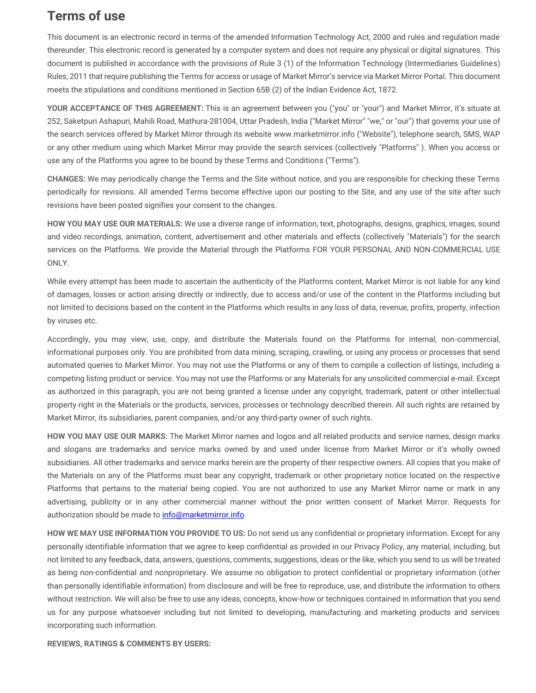## **Terms of use**

This document is an electronic record in terms of the amended Information Technology Act, 2000 and rules and regulation made thereunder. This electronic record is generated by a computer system and does not require any physical or digital signatures. This document is published in accordance with the provisions of Rule 3 (1) of the Information Technology (Intermediaries Guidelines) Rules, 2011 that require publishing the Terms for access or usage of Market Mirror's service via Market Mirror Portal. This document meets the stipulations and conditions mentioned in Section 65B (2) of the Indian Evidence Act, 1872.

**YOUR ACCEPTANCE OF THIS AGREEMENT:** This is an agreement between you ("you" or "your") and Market Mirror, it's situate at 252, Saketpuri Ashapuri, Mahili Road, Mathura-281004, Uttar Pradesh, India ("Market Mirror" "we," or "our") that governs your use of the search services offered by Market Mirror through its website www.marketmirror.info ("Website"), telephone search, SMS, WAP or any other medium using which Market Mirror may provide the search services (collectively "Platforms" ). When you access or use any of the Platforms you agree to be bound by these Terms and Conditions ("Terms").

**CHANGES:** We may periodically change the Terms and the Site without notice, and you are responsible for checking these Terms periodically for revisions. All amended Terms become effective upon our posting to the Site, and any use of the site after such revisions have been posted signifies your consent to the changes.

**HOW YOU MAY USE OUR MATERIALS:** We use a diverse range of information, text, photographs, designs, graphics, images, sound and video recordings, animation, content, advertisement and other materials and effects (collectively "Materials") for the search services on the Platforms. We provide the Material through the Platforms FOR YOUR PERSONAL AND NON-COMMERCIAL USE ONLY.

While every attempt has been made to ascertain the authenticity of the Platforms content, Market Mirror is not liable for any kind of damages, losses or action arising directly or indirectly, due to access and/or use of the content in the Platforms including but not limited to decisions based on the content in the Platforms which results in any loss of data, revenue, profits, property, infection by viruses etc.

Accordingly, you may view, use, copy, and distribute the Materials found on the Platforms for internal, non-commercial, informational purposes only. You are prohibited from data mining, scraping, crawling, or using any process or processes that send automated queries to Market Mirror. You may not use the Platforms or any of them to compile a collection of listings, including a competing listing product or service. You may not use the Platforms or any Materials for any unsolicited commercial e-mail. Except as authorized in this paragraph, you are not being granted a license under any copyright, trademark, patent or other intellectual property right in the Materials or the products, services, processes or technology described therein. All such rights are retained by Market Mirror, its subsidiaries, parent companies, and/or any third-party owner of such rights.

**HOW YOU MAY USE OUR MARKS:** The Market Mirror names and logos and all related products and service names, design marks and slogans are trademarks and service marks owned by and used under license from Market Mirror or it's wholly owned subsidiaries. All other trademarks and service marks herein are the property of their respective owners. All copies that you make of the Materials on any of the Platforms must bear any copyright, trademark or other proprietary notice located on the respective Platforms that pertains to the material being copied. You are not authorized to use any Market Mirror name or mark in any advertising, publicity or in any other commercial manner without the prior written consent of Market Mirror. Requests for authorization should be made to [info@marketmirror.info](mailto:info@marketmirror.info)

**HOW WE MAY USE INFORMATION YOU PROVIDE TO US:** Do not send us any confidential or proprietary information. Except for any personally identifiable information that we agree to keep confidential as provided in our Privacy Policy, any material, including, but not limited to any feedback, data, answers, questions, comments, suggestions, ideas or the like, which you send to us will be treated as being non-confidential and nonproprietary. We assume no obligation to protect confidential or proprietary information (other than personally identifiable information) from disclosure and will be free to reproduce, use, and distribute the information to others without restriction. We will also be free to use any ideas, concepts, know-how or techniques contained in information that you send us for any purpose whatsoever including but not limited to developing, manufacturing and marketing products and services incorporating such information.

**REVIEWS, RATINGS & COMMENTS BY USERS:**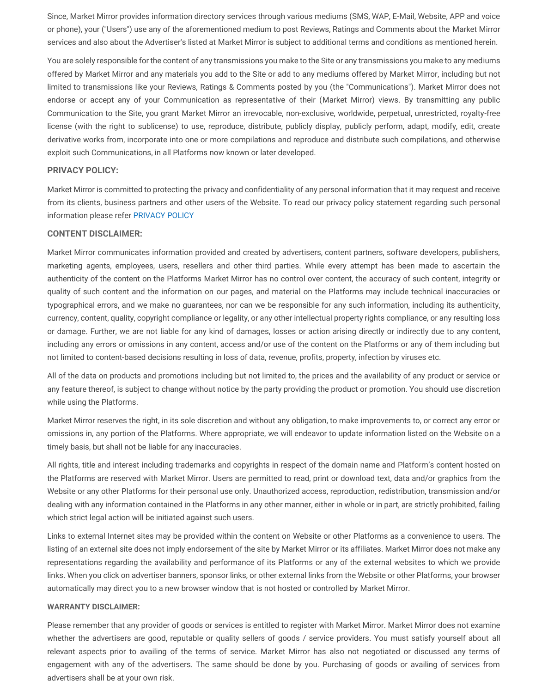Since, Market Mirror provides information directory services through various mediums (SMS, WAP, E-Mail, Website, APP and voice or phone), your ("Users") use any of the aforementioned medium to post Reviews, Ratings and Comments about the Market Mirror services and also about the Advertiser's listed at Market Mirror is subject to additional terms and conditions as mentioned herein.

You are solely responsible for the content of any transmissions you make to the Site or any transmissions you make to any mediums offered by Market Mirror and any materials you add to the Site or add to any mediums offered by Market Mirror, including but not limited to transmissions like your Reviews, Ratings & Comments posted by you (the "Communications"). Market Mirror does not endorse or accept any of your Communication as representative of their (Market Mirror) views. By transmitting any public Communication to the Site, you grant Market Mirror an irrevocable, non-exclusive, worldwide, perpetual, unrestricted, royalty-free license (with the right to sublicense) to use, reproduce, distribute, publicly display, publicly perform, adapt, modify, edit, create derivative works from, incorporate into one or more compilations and reproduce and distribute such compilations, and otherwise exploit such Communications, in all Platforms now known or later developed.

## **PRIVACY POLICY:**

Market Mirror is committed to protecting the privacy and confidentiality of any personal information that it may request and receive from its clients, business partners and other users of the Website. To read our privacy policy statement regarding such personal information please refer PRIVACY POLICY

## **CONTENT DISCLAIMER:**

Market Mirror communicates information provided and created by advertisers, content partners, software developers, publishers, marketing agents, employees, users, resellers and other third parties. While every attempt has been made to ascertain the authenticity of the content on the Platforms Market Mirror has no control over content, the accuracy of such content, integrity or quality of such content and the information on our pages, and material on the Platforms may include technical inaccuracies or typographical errors, and we make no guarantees, nor can we be responsible for any such information, including its authenticity, currency, content, quality, copyright compliance or legality, or any other intellectual property rights compliance, or any resulting loss or damage. Further, we are not liable for any kind of damages, losses or action arising directly or indirectly due to any content, including any errors or omissions in any content, access and/or use of the content on the Platforms or any of them including but not limited to content-based decisions resulting in loss of data, revenue, profits, property, infection by viruses etc.

All of the data on products and promotions including but not limited to, the prices and the availability of any product or service or any feature thereof, is subject to change without notice by the party providing the product or promotion. You should use discretion while using the Platforms.

Market Mirror reserves the right, in its sole discretion and without any obligation, to make improvements to, or correct any error or omissions in, any portion of the Platforms. Where appropriate, we will endeavor to update information listed on the Website on a timely basis, but shall not be liable for any inaccuracies.

All rights, title and interest including trademarks and copyrights in respect of the domain name and Platform's content hosted on the Platforms are reserved with Market Mirror. Users are permitted to read, print or download text, data and/or graphics from the Website or any other Platforms for their personal use only. Unauthorized access, reproduction, redistribution, transmission and/or dealing with any information contained in the Platforms in any other manner, either in whole or in part, are strictly prohibited, failing which strict legal action will be initiated against such users.

Links to external Internet sites may be provided within the content on Website or other Platforms as a convenience to users. The listing of an external site does not imply endorsement of the site by Market Mirror or its affiliates. Market Mirror does not make any representations regarding the availability and performance of its Platforms or any of the external websites to which we provide links. When you click on advertiser banners, sponsor links, or other external links from the Website or other Platforms, your browser automatically may direct you to a new browser window that is not hosted or controlled by Market Mirror.

## **WARRANTY DISCLAIMER:**

Please remember that any provider of goods or services is entitled to register with Market Mirror. Market Mirror does not examine whether the advertisers are good, reputable or quality sellers of goods / service providers. You must satisfy yourself about all relevant aspects prior to availing of the terms of service. Market Mirror has also not negotiated or discussed any terms of engagement with any of the advertisers. The same should be done by you. Purchasing of goods or availing of services from advertisers shall be at your own risk.